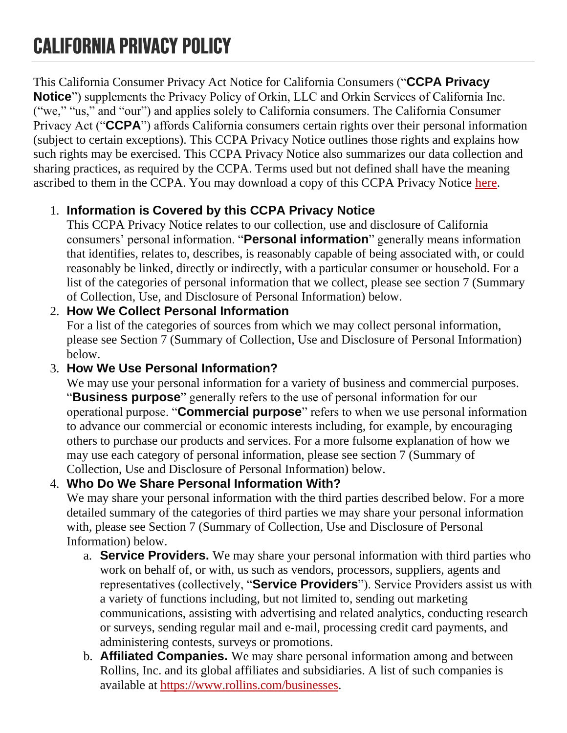This California Consumer Privacy Act Notice for California Consumers ("**CCPA Privacy Notice**") supplements the Privacy Policy of Orkin, LLC and Orkin Services of California Inc. ("we," "us," and "our") and applies solely to California consumers. The California Consumer Privacy Act ("**CCPA**") affords California consumers certain rights over their personal information (subject to certain exceptions). This CCPA Privacy Notice outlines those rights and explains how such rights may be exercised. This CCPA Privacy Notice also summarizes our data collection and sharing practices, as required by the CCPA. Terms used but not defined shall have the meaning ascribed to them in the CCPA. You may download a copy of this CCPA Privacy Notice [here.](https://cdn.orkin.com/downloads/legal/california-privacy-policy.pdf)

## 1. **Information is Covered by this CCPA Privacy Notice**

This CCPA Privacy Notice relates to our collection, use and disclosure of California consumers' personal information. "**Personal information**" generally means information that identifies, relates to, describes, is reasonably capable of being associated with, or could reasonably be linked, directly or indirectly, with a particular consumer or household. For a list of the categories of personal information that we collect, please see section 7 (Summary of Collection, Use, and Disclosure of Personal Information) below.

#### 2. **How We Collect Personal Information**

For a list of the categories of sources from which we may collect personal information, please see Section 7 (Summary of Collection, Use and Disclosure of Personal Information) below.

#### 3. **How We Use Personal Information?**

We may use your personal information for a variety of business and commercial purposes. "**Business purpose**" generally refers to the use of personal information for our operational purpose. "**Commercial purpose**" refers to when we use personal information to advance our commercial or economic interests including, for example, by encouraging others to purchase our products and services. For a more fulsome explanation of how we may use each category of personal information, please see section 7 (Summary of Collection, Use and Disclosure of Personal Information) below.

## 4. **Who Do We Share Personal Information With?**

We may share your personal information with the third parties described below. For a more detailed summary of the categories of third parties we may share your personal information with, please see Section 7 (Summary of Collection, Use and Disclosure of Personal Information) below.

- a. **Service Providers.** We may share your personal information with third parties who work on behalf of, or with, us such as vendors, processors, suppliers, agents and representatives (collectively, "**Service Providers**"). Service Providers assist us with a variety of functions including, but not limited to, sending out marketing communications, assisting with advertising and related analytics, conducting research or surveys, sending regular mail and e-mail, processing credit card payments, and administering contests, surveys or promotions.
- b. **Affiliated Companies.** We may share personal information among and between Rollins, Inc. and its global affiliates and subsidiaries. A list of such companies is available at [https://www.rollins.com/businesses.](https://www.rollins.com/businesses)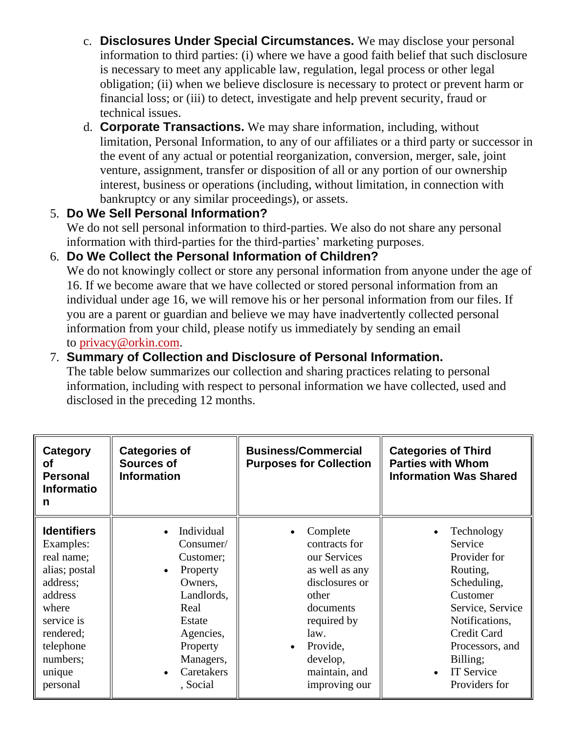- c. **Disclosures Under Special Circumstances.** We may disclose your personal information to third parties: (i) where we have a good faith belief that such disclosure is necessary to meet any applicable law, regulation, legal process or other legal obligation; (ii) when we believe disclosure is necessary to protect or prevent harm or financial loss; or (iii) to detect, investigate and help prevent security, fraud or technical issues.
- d. **Corporate Transactions.** We may share information, including, without limitation, Personal Information, to any of our affiliates or a third party or successor in the event of any actual or potential reorganization, conversion, merger, sale, joint venture, assignment, transfer or disposition of all or any portion of our ownership interest, business or operations (including, without limitation, in connection with bankruptcy or any similar proceedings), or assets.

## 5. **Do We Sell Personal Information?**

We do not sell personal information to third-parties. We also do not share any personal information with third-parties for the third-parties' marketing purposes.

## 6. **Do We Collect the Personal Information of Children?**

We do not knowingly collect or store any personal information from anyone under the age of 16. If we become aware that we have collected or stored personal information from an individual under age 16, we will remove his or her personal information from our files. If you are a parent or guardian and believe we may have inadvertently collected personal information from your child, please notify us immediately by sending an email to [privacy@orkin.com.](mailto:privacy@orkin.com)

## 7. **Summary of Collection and Disclosure of Personal Information.**

The table below summarizes our collection and sharing practices relating to personal information, including with respect to personal information we have collected, used and disclosed in the preceding 12 months.

| Category<br>οf<br><b>Personal</b><br><b>Informatio</b><br>n                                                                                                              | <b>Categories of</b><br><b>Sources of</b><br><b>Information</b>                                                                                                          | <b>Business/Commercial</b><br><b>Purposes for Collection</b>                                                                                                                                                   | <b>Categories of Third</b><br><b>Parties with Whom</b><br><b>Information Was Shared</b>                                                                                                                |
|--------------------------------------------------------------------------------------------------------------------------------------------------------------------------|--------------------------------------------------------------------------------------------------------------------------------------------------------------------------|----------------------------------------------------------------------------------------------------------------------------------------------------------------------------------------------------------------|--------------------------------------------------------------------------------------------------------------------------------------------------------------------------------------------------------|
| <b>Identifiers</b><br>Examples:<br>real name;<br>alias; postal<br>address;<br>address<br>where<br>service is<br>rendered;<br>telephone<br>numbers;<br>unique<br>personal | Individual<br>Consumer/<br>Customer;<br>Property<br>$\bullet$<br>Owners,<br>Landlords,<br>Real<br>Estate<br>Agencies,<br>Property<br>Managers,<br>Caretakers<br>, Social | Complete<br>$\bullet$<br>contracts for<br>our Services<br>as well as any<br>disclosures or<br>other<br>documents<br>required by<br>law.<br>Provide,<br>$\bullet$<br>develop,<br>maintain, and<br>improving our | Technology<br>Service<br>Provider for<br>Routing,<br>Scheduling,<br>Customer<br>Service, Service<br>Notifications,<br>Credit Card<br>Processors, and<br>Billing;<br><b>IT Service</b><br>Providers for |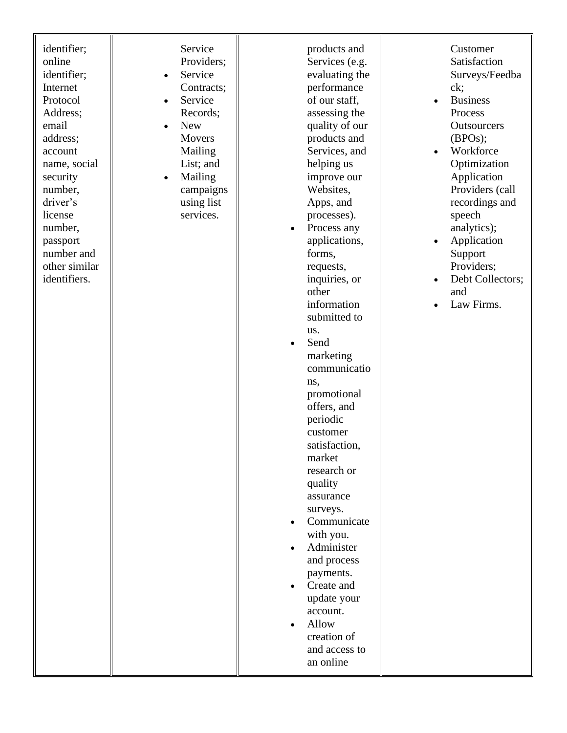| identifier;<br>online<br>identifier;<br>Internet<br>Protocol<br>Address;<br>email<br>address;<br>account<br>name, social<br>security<br>number,<br>driver's<br>license<br>number,<br>passport<br>number and<br>other similar<br>identifiers. | Service<br>Providers;<br>Service<br>$\bullet$<br>Contracts;<br>Service<br>$\bullet$<br>Records;<br><b>New</b><br>$\bullet$<br>Movers<br>Mailing<br>List; and<br>Mailing<br>$\bullet$<br>campaigns<br>using list<br>services. | products and<br>Services (e.g.<br>evaluating the<br>performance<br>of our staff,<br>assessing the<br>quality of our<br>products and<br>Services, and<br>helping us<br>improve our<br>Websites,<br>Apps, and<br>processes).<br>Process any<br>applications,<br>forms,<br>requests,<br>inquiries, or<br>other<br>information<br>submitted to<br>us.<br>Send<br>marketing<br>communicatio<br>ns,<br>promotional<br>offers, and<br>periodic<br>customer<br>satisfaction.<br>market<br>research or<br>quality<br>assurance<br>surveys.<br>Communicate<br>with you.<br>Administer<br>and process<br>payments.<br>Create and<br>update your<br>account.<br>Allow<br>creation of<br>and access to<br>an online | Customer<br>Satisfaction<br>Surveys/Feedba<br>ck;<br><b>Business</b><br>Process<br>Outsourcers<br>(BPOS);<br>Workforce<br>Optimization<br>Application<br>Providers (call<br>recordings and<br>speech<br>analytics);<br>Application<br>Support<br>Providers;<br>Debt Collectors;<br>and<br>Law Firms. |
|----------------------------------------------------------------------------------------------------------------------------------------------------------------------------------------------------------------------------------------------|------------------------------------------------------------------------------------------------------------------------------------------------------------------------------------------------------------------------------|--------------------------------------------------------------------------------------------------------------------------------------------------------------------------------------------------------------------------------------------------------------------------------------------------------------------------------------------------------------------------------------------------------------------------------------------------------------------------------------------------------------------------------------------------------------------------------------------------------------------------------------------------------------------------------------------------------|------------------------------------------------------------------------------------------------------------------------------------------------------------------------------------------------------------------------------------------------------------------------------------------------------|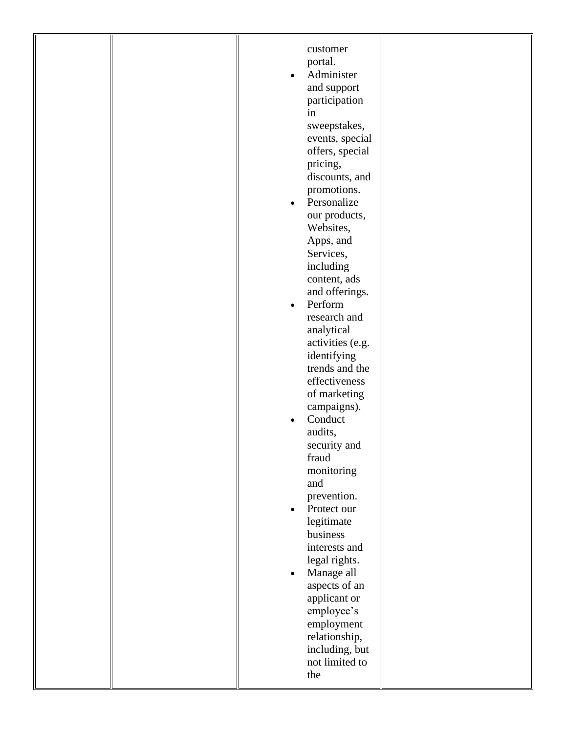| employment<br>relationship,<br>including, but |
|-----------------------------------------------|
|-----------------------------------------------|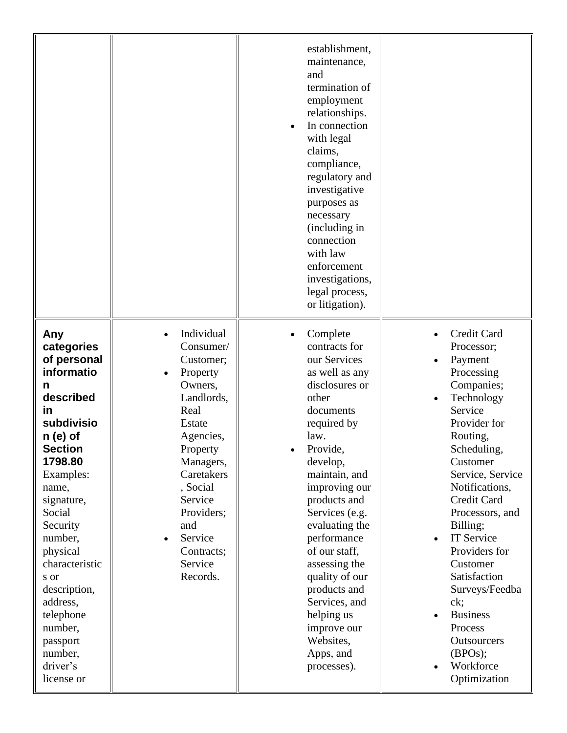|                                                                                                                                                                                                                                                                                                                                                       |                                                                                                                                                                                                                                             | establishment,<br>maintenance,<br>and<br>termination of<br>employment<br>relationships.<br>In connection<br>with legal<br>claims,<br>compliance,<br>regulatory and<br>investigative<br>purposes as<br>necessary<br>(including in<br>connection<br>with law<br>enforcement<br>investigations,<br>legal process,<br>or litigation).                                                                                  |                                                                                                                                                                                                                                                                                                                                                                                                                      |
|-------------------------------------------------------------------------------------------------------------------------------------------------------------------------------------------------------------------------------------------------------------------------------------------------------------------------------------------------------|---------------------------------------------------------------------------------------------------------------------------------------------------------------------------------------------------------------------------------------------|--------------------------------------------------------------------------------------------------------------------------------------------------------------------------------------------------------------------------------------------------------------------------------------------------------------------------------------------------------------------------------------------------------------------|----------------------------------------------------------------------------------------------------------------------------------------------------------------------------------------------------------------------------------------------------------------------------------------------------------------------------------------------------------------------------------------------------------------------|
| Any<br>categories<br>of personal<br>informatio<br>n<br>described<br><u>in</u><br>subdivisio<br>$n(e)$ of<br><b>Section</b><br>1798.80<br>Examples:<br>name,<br>signature,<br>Social<br>Security<br>number,<br>physical<br>characteristic<br>s or<br>description,<br>address,<br>telephone<br>number,<br>passport<br>number,<br>driver's<br>license or | Individual<br>Consumer/<br>Customer;<br>Property<br>Owners,<br>Landlords,<br>Real<br>Estate<br>Agencies,<br>Property<br>Managers,<br>Caretakers<br>, Social<br>Service<br>Providers;<br>and<br>Service<br>Contracts;<br>Service<br>Records. | Complete<br>contracts for<br>our Services<br>as well as any<br>disclosures or<br>other<br>documents<br>required by<br>law.<br>Provide,<br>develop,<br>maintain, and<br>improving our<br>products and<br>Services (e.g.<br>evaluating the<br>performance<br>of our staff,<br>assessing the<br>quality of our<br>products and<br>Services, and<br>helping us<br>improve our<br>Websites,<br>Apps, and<br>processes). | Credit Card<br>Processor;<br>Payment<br>Processing<br>Companies;<br>Technology<br>Service<br>Provider for<br>Routing,<br>Scheduling,<br>Customer<br>Service, Service<br>Notifications,<br>Credit Card<br>Processors, and<br>Billing;<br>IT Service<br>Providers for<br>Customer<br>Satisfaction<br>Surveys/Feedba<br>ck;<br><b>Business</b><br>Process<br><b>Outsourcers</b><br>(BPOS);<br>Workforce<br>Optimization |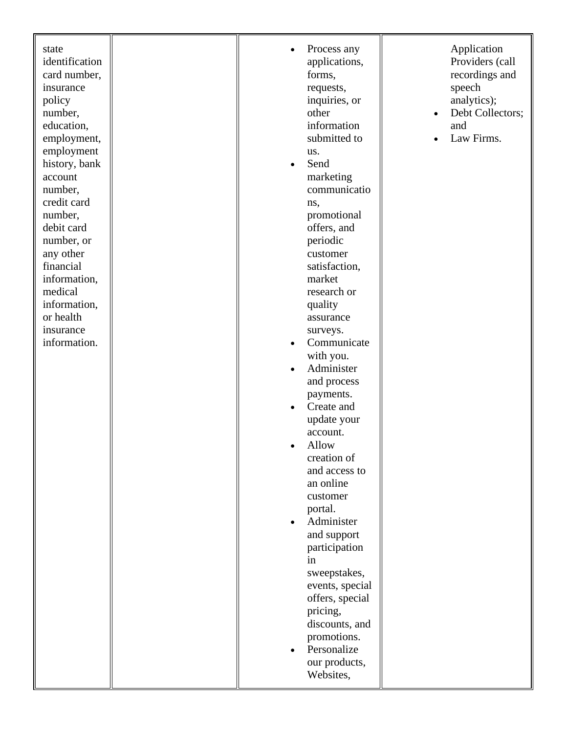| state<br>identification<br>card number,<br>insurance<br>policy<br>number,<br>education,<br>employment,<br>employment<br>history, bank<br>account<br>number,<br>credit card<br>number,<br>debit card<br>number, or<br>any other<br>financial<br>information,<br>medical<br>information,<br>or health<br>insurance<br>information. | Process any<br>$\bullet$<br>applications,<br>forms,<br>requests,<br>inquiries, or<br>other<br>information<br>submitted to<br>us.<br>Send<br>$\bullet$<br>marketing<br>communicatio<br>ns,<br>promotional<br>offers, and<br>periodic<br>customer<br>satisfaction,<br>market<br>research or<br>quality<br>assurance<br>surveys.<br>Communicate<br>$\bullet$<br>with you.<br>Administer<br>$\bullet$<br>and process<br>payments.<br>Create and<br>update your<br>account.<br>Allow<br>creation of<br>and access to<br>an online<br>customer<br>portal.<br>Administer<br>and support<br>participation<br>in<br>sweepstakes,<br>events, special<br>offers, special<br>pricing,<br>discounts, and<br>promotions.<br>Personalize | Application<br>Providers (call<br>recordings and<br>speech<br>analytics);<br>Debt Collectors;<br>$\bullet$<br>and<br>Law Firms. |
|----------------------------------------------------------------------------------------------------------------------------------------------------------------------------------------------------------------------------------------------------------------------------------------------------------------------------------|---------------------------------------------------------------------------------------------------------------------------------------------------------------------------------------------------------------------------------------------------------------------------------------------------------------------------------------------------------------------------------------------------------------------------------------------------------------------------------------------------------------------------------------------------------------------------------------------------------------------------------------------------------------------------------------------------------------------------|---------------------------------------------------------------------------------------------------------------------------------|
|                                                                                                                                                                                                                                                                                                                                  | our products,<br>Websites,                                                                                                                                                                                                                                                                                                                                                                                                                                                                                                                                                                                                                                                                                                |                                                                                                                                 |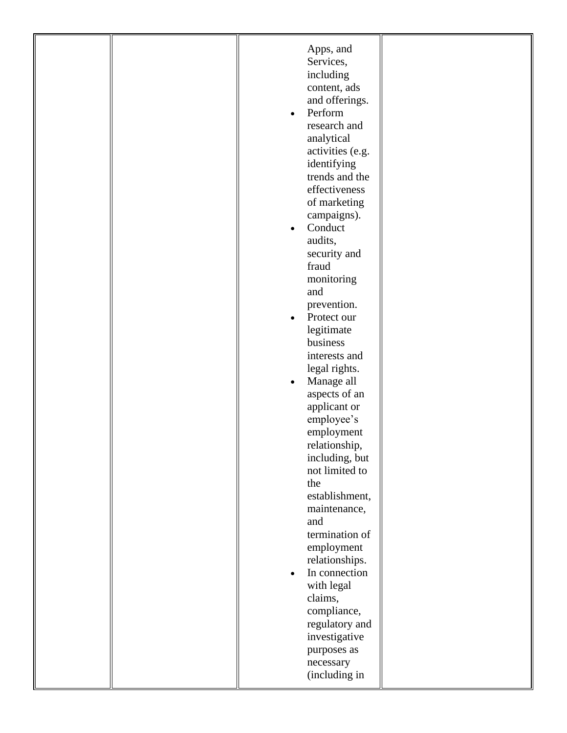|  | Apps, and<br>Services,<br>including<br>content, ads<br>and offerings.<br>Perform<br>$\bullet$<br>research and<br>analytical<br>activities (e.g.<br>identifying<br>trends and the<br>effectiveness<br>of marketing<br>campaigns).<br>Conduct<br>$\bullet$<br>audits,<br>security and<br>fraud<br>monitoring<br>and<br>prevention.<br>Protect our<br>$\bullet$<br>legitimate<br>business<br>interests and<br>legal rights.<br>Manage all<br>$\bullet$<br>aspects of an<br>applicant or<br>employee's<br>employment<br>relationship,<br>including, but<br>not limited to<br>the<br>establishment,<br>maintenance,<br>and<br>termination of<br>employment<br>relationships.<br>In connection<br>with legal<br>claims,<br>compliance,<br>regulatory and |  |
|--|----------------------------------------------------------------------------------------------------------------------------------------------------------------------------------------------------------------------------------------------------------------------------------------------------------------------------------------------------------------------------------------------------------------------------------------------------------------------------------------------------------------------------------------------------------------------------------------------------------------------------------------------------------------------------------------------------------------------------------------------------|--|
|  | investigative<br>purposes as<br>necessary<br>(including in                                                                                                                                                                                                                                                                                                                                                                                                                                                                                                                                                                                                                                                                                         |  |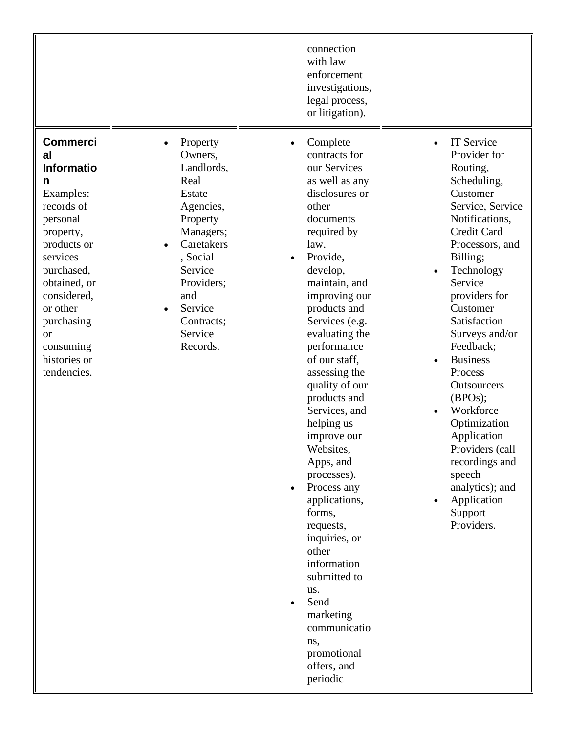|                                                                                                                                                                                                                                                                |                                                                                                                                                                                                     | connection<br>with law<br>enforcement<br>investigations,<br>legal process,<br>or litigation).                                                                                                                                                                                                                                                                                                                                                                                                                                                                                                                                   |                                                                                                                                                                                                                                                                                                                                                                                                                                                                                                                        |
|----------------------------------------------------------------------------------------------------------------------------------------------------------------------------------------------------------------------------------------------------------------|-----------------------------------------------------------------------------------------------------------------------------------------------------------------------------------------------------|---------------------------------------------------------------------------------------------------------------------------------------------------------------------------------------------------------------------------------------------------------------------------------------------------------------------------------------------------------------------------------------------------------------------------------------------------------------------------------------------------------------------------------------------------------------------------------------------------------------------------------|------------------------------------------------------------------------------------------------------------------------------------------------------------------------------------------------------------------------------------------------------------------------------------------------------------------------------------------------------------------------------------------------------------------------------------------------------------------------------------------------------------------------|
| <b>Commerci</b><br>al<br><b>Informatio</b><br>n<br>Examples:<br>records of<br>personal<br>property,<br>products or<br>services<br>purchased,<br>obtained, or<br>considered,<br>or other<br>purchasing<br><b>or</b><br>consuming<br>histories or<br>tendencies. | Property<br>Owners,<br>Landlords,<br>Real<br>Estate<br>Agencies,<br>Property<br>Managers;<br>Caretakers<br>, Social<br>Service<br>Providers;<br>and<br>Service<br>Contracts;<br>Service<br>Records. | Complete<br>contracts for<br>our Services<br>as well as any<br>disclosures or<br>other<br>documents<br>required by<br>law.<br>Provide,<br>develop,<br>maintain, and<br>improving our<br>products and<br>Services (e.g.<br>evaluating the<br>performance<br>of our staff,<br>assessing the<br>quality of our<br>products and<br>Services, and<br>helping us<br>improve our<br>Websites.<br>Apps, and<br>processes).<br>Process any<br>applications,<br>forms,<br>requests,<br>inquiries, or<br>other<br>information<br>submitted to<br>us.<br>Send<br>marketing<br>communicatio<br>ns,<br>promotional<br>offers, and<br>periodic | <b>IT Service</b><br>$\bullet$<br>Provider for<br>Routing,<br>Scheduling,<br>Customer<br>Service, Service<br>Notifications,<br>Credit Card<br>Processors, and<br>Billing;<br>Technology<br>$\bullet$<br>Service<br>providers for<br>Customer<br>Satisfaction<br>Surveys and/or<br>Feedback;<br><b>Business</b><br>Process<br>Outsourcers<br>(BPOS);<br>Workforce<br>$\bullet$<br>Optimization<br>Application<br>Providers (call<br>recordings and<br>speech<br>analytics); and<br>Application<br>Support<br>Providers. |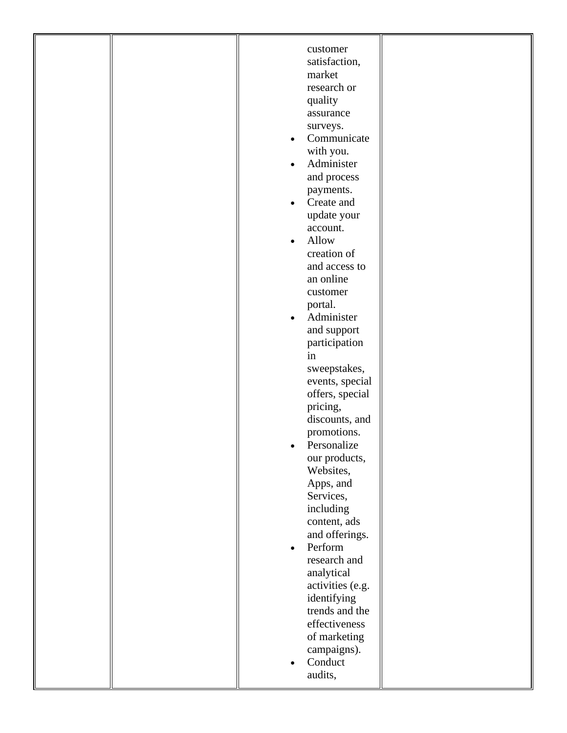|  | customer<br>satisfaction,<br>market<br>research or<br>quality<br>assurance<br>surveys.<br>Communicate<br>$\bullet$<br>with you.<br>Administer<br>$\bullet$<br>and process<br>payments.<br>Create and<br>$\bullet$<br>update your<br>account.<br>Allow<br>$\bullet$<br>creation of<br>and access to<br>an online<br>customer<br>portal.<br>Administer<br>$\bullet$<br>and support<br>participation<br>in<br>sweepstakes,<br>events, special<br>offers, special<br>pricing,<br>discounts, and<br>promotions.<br>Personalize<br>our products,<br>Websites,<br>Apps, and<br>Services,<br>including<br>content, ads<br>and offerings.<br>Perform<br>$\bullet$<br>research and<br>analytical<br>activities (e.g.<br>identifying<br>trends and the<br>effectiveness<br>of marketing<br>campaigns). |  |
|--|---------------------------------------------------------------------------------------------------------------------------------------------------------------------------------------------------------------------------------------------------------------------------------------------------------------------------------------------------------------------------------------------------------------------------------------------------------------------------------------------------------------------------------------------------------------------------------------------------------------------------------------------------------------------------------------------------------------------------------------------------------------------------------------------|--|
|  | Conduct<br>audits,                                                                                                                                                                                                                                                                                                                                                                                                                                                                                                                                                                                                                                                                                                                                                                          |  |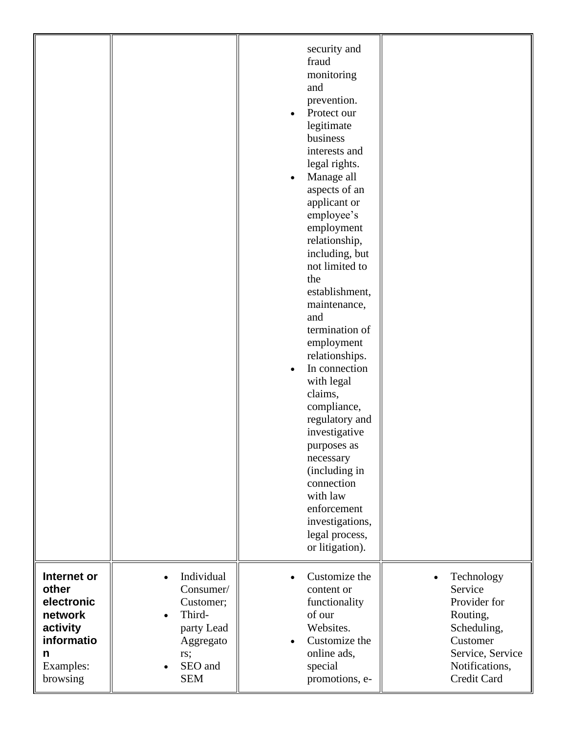|             |            | security and<br>fraud<br>monitoring<br>and<br>prevention.<br>Protect our<br>legitimate<br>business<br>interests and<br>legal rights.<br>Manage all<br>aspects of an<br>applicant or<br>employee's<br>employment<br>relationship,<br>including, but<br>not limited to<br>the<br>establishment,<br>maintenance,<br>and<br>termination of<br>employment<br>relationships.<br>In connection<br>with legal<br>claims,<br>compliance,<br>regulatory and<br>investigative<br>purposes as<br>necessary<br>(including in<br>connection<br>with law<br>enforcement<br>investigations,<br>legal process,<br>or litigation). |                  |
|-------------|------------|------------------------------------------------------------------------------------------------------------------------------------------------------------------------------------------------------------------------------------------------------------------------------------------------------------------------------------------------------------------------------------------------------------------------------------------------------------------------------------------------------------------------------------------------------------------------------------------------------------------|------------------|
| Internet or | Individual | Customize the                                                                                                                                                                                                                                                                                                                                                                                                                                                                                                                                                                                                    | Technology       |
| other       | Consumer/  | content or                                                                                                                                                                                                                                                                                                                                                                                                                                                                                                                                                                                                       | Service          |
| electronic  | Customer;  | functionality                                                                                                                                                                                                                                                                                                                                                                                                                                                                                                                                                                                                    | Provider for     |
| network     | Third-     | of our                                                                                                                                                                                                                                                                                                                                                                                                                                                                                                                                                                                                           | Routing,         |
| activity    | party Lead | Websites.                                                                                                                                                                                                                                                                                                                                                                                                                                                                                                                                                                                                        | Scheduling,      |
| informatio  | Aggregato  | Customize the                                                                                                                                                                                                                                                                                                                                                                                                                                                                                                                                                                                                    | Customer         |
| n           | rs;        | online ads,                                                                                                                                                                                                                                                                                                                                                                                                                                                                                                                                                                                                      | Service, Service |
| Examples:   | SEO and    | special                                                                                                                                                                                                                                                                                                                                                                                                                                                                                                                                                                                                          | Notifications,   |
| browsing    | <b>SEM</b> | promotions, e-                                                                                                                                                                                                                                                                                                                                                                                                                                                                                                                                                                                                   | Credit Card      |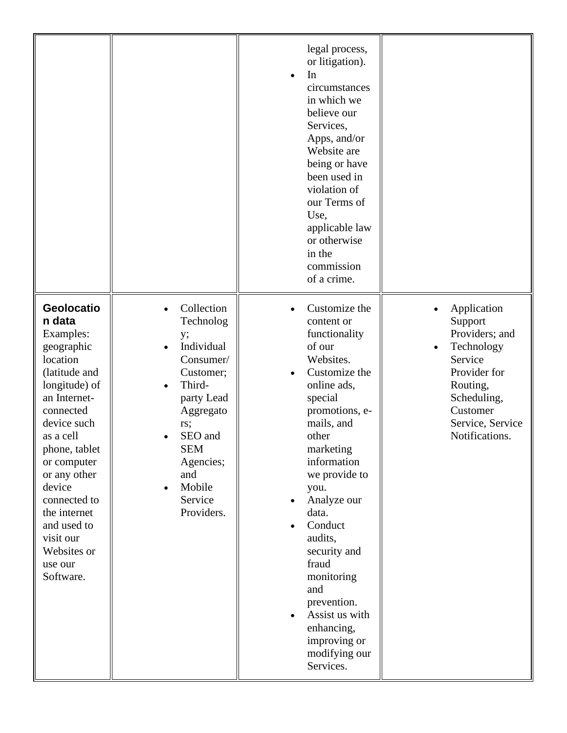|                                                                                                                                                                                                                                                                                                                     |                                                                                                                                                                                                   | legal process,<br>or litigation).<br>In<br>$\bullet$<br>circumstances<br>in which we<br>believe our<br>Services,<br>Apps, and/or<br>Website are<br>being or have<br>been used in<br>violation of<br>our Terms of<br>Use,<br>applicable law<br>or otherwise<br>in the<br>commission<br>of a crime.                                                                                                     |                                                                                                                                                                |
|---------------------------------------------------------------------------------------------------------------------------------------------------------------------------------------------------------------------------------------------------------------------------------------------------------------------|---------------------------------------------------------------------------------------------------------------------------------------------------------------------------------------------------|-------------------------------------------------------------------------------------------------------------------------------------------------------------------------------------------------------------------------------------------------------------------------------------------------------------------------------------------------------------------------------------------------------|----------------------------------------------------------------------------------------------------------------------------------------------------------------|
| Geolocatio<br>n data<br>Examples:<br>geographic<br>location<br>(latitude and<br>longitude) of<br>an Internet-<br>connected<br>device such<br>as a cell<br>phone, tablet<br>or computer<br>or any other<br>device<br>connected to<br>the internet<br>and used to<br>visit our<br>Websites or<br>use our<br>Software. | Collection<br>Technolog<br>y;<br>Individual<br>Consumer/<br>Customer;<br>Third-<br>party Lead<br>Aggregato<br>rs;<br>SEO and<br><b>SEM</b><br>Agencies;<br>and<br>Mobile<br>Service<br>Providers. | Customize the<br>content or<br>functionality<br>of our<br>Websites.<br>Customize the<br>online ads,<br>special<br>promotions, e-<br>mails, and<br>other<br>marketing<br>information<br>we provide to<br>you.<br>Analyze our<br>data.<br>Conduct<br>audits,<br>security and<br>fraud<br>monitoring<br>and<br>prevention.<br>Assist us with<br>enhancing,<br>improving or<br>modifying our<br>Services. | Application<br>Support<br>Providers; and<br>Technology<br>Service<br>Provider for<br>Routing,<br>Scheduling,<br>Customer<br>Service, Service<br>Notifications. |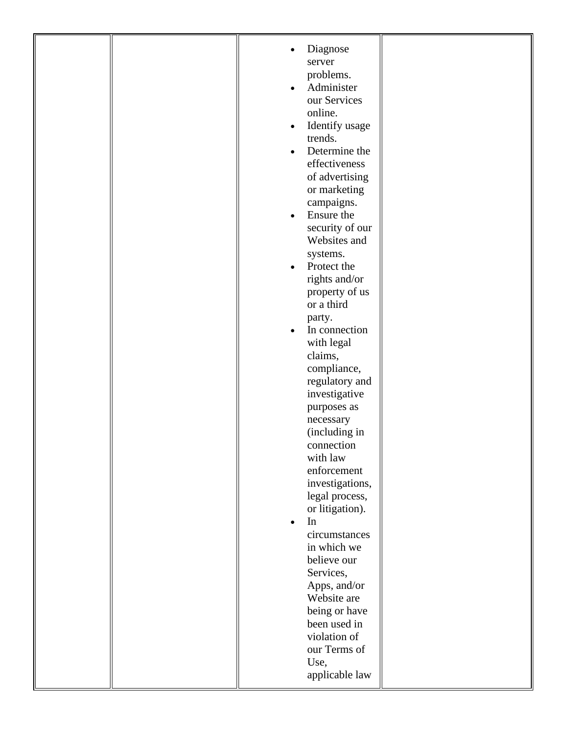|  | Diagnose<br>server<br>problems.<br>Administer<br>$\bullet$<br>our Services<br>online.<br>Identify usage<br>$\bullet$<br>trends.<br>Determine the<br>$\bullet$<br>effectiveness<br>of advertising<br>or marketing<br>campaigns.<br>Ensure the<br>$\bullet$<br>security of our<br>Websites and<br>systems.<br>Protect the<br>$\bullet$<br>rights and/or<br>property of us<br>or a third<br>party.<br>In connection<br>$\bullet$<br>with legal<br>claims,<br>compliance,<br>regulatory and<br>investigative<br>purposes as<br>necessary<br>(including in<br>connection<br>with law<br>enforcement<br>investigations,<br>legal process,<br>or litigation).<br>In<br>$\bullet$<br>circumstances<br>in which we<br>believe our<br>Services,<br>Apps, and/or<br>Website are<br>being or have |  |
|--|---------------------------------------------------------------------------------------------------------------------------------------------------------------------------------------------------------------------------------------------------------------------------------------------------------------------------------------------------------------------------------------------------------------------------------------------------------------------------------------------------------------------------------------------------------------------------------------------------------------------------------------------------------------------------------------------------------------------------------------------------------------------------------------|--|
|  | been used in<br>violation of<br>our Terms of<br>Use,<br>applicable law                                                                                                                                                                                                                                                                                                                                                                                                                                                                                                                                                                                                                                                                                                                |  |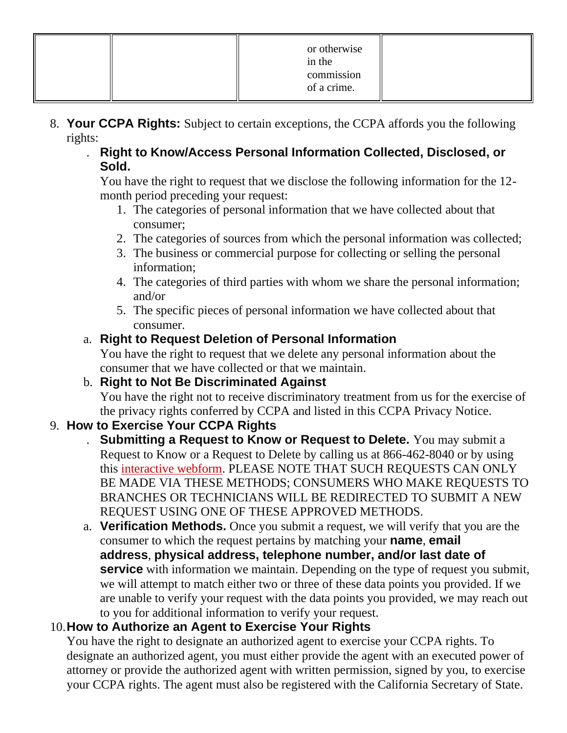|  | or otherwise<br>in the<br>commission<br>of a crime. |  |
|--|-----------------------------------------------------|--|
|--|-----------------------------------------------------|--|

- 8. **Your CCPA Rights:** Subject to certain exceptions, the CCPA affords you the following rights:
	- . **Right to Know/Access Personal Information Collected, Disclosed, or Sold.**

You have the right to request that we disclose the following information for the 12 month period preceding your request:

- 1. The categories of personal information that we have collected about that consumer;
- 2. The categories of sources from which the personal information was collected;
- 3. The business or commercial purpose for collecting or selling the personal information;
- 4. The categories of third parties with whom we share the personal information; and/or
- 5. The specific pieces of personal information we have collected about that consumer.

## a. **Right to Request Deletion of Personal Information**

You have the right to request that we delete any personal information about the consumer that we have collected or that we maintain.

## b. **Right to Not Be Discriminated Against**

You have the right not to receive discriminatory treatment from us for the exercise of the privacy rights conferred by CCPA and listed in this CCPA Privacy Notice.

# 9. **How to Exercise Your CCPA Rights**

- . **Submitting a Request to Know or Request to Delete.** You may submit a Request to Know or a Request to Delete by calling us at 866-462-8040 or by using this [interactive webform.](https://privacyportal-cdn.onetrust.com/dsarwebform/8be06592-31bf-480c-a98a-1b8671cdd8b7/8dd88b34-86e1-472c-8a11-5c17bcbe7c3a.html) PLEASE NOTE THAT SUCH REQUESTS CAN ONLY BE MADE VIA THESE METHODS; CONSUMERS WHO MAKE REQUESTS TO BRANCHES OR TECHNICIANS WILL BE REDIRECTED TO SUBMIT A NEW REQUEST USING ONE OF THESE APPROVED METHODS.
- a. **Verification Methods.** Once you submit a request, we will verify that you are the consumer to which the request pertains by matching your **name**, **email address**, **physical address, telephone number, and/or last date of service** with information we maintain. Depending on the type of request you submit, we will attempt to match either two or three of these data points you provided. If we are unable to verify your request with the data points you provided, we may reach out to you for additional information to verify your request.

## 10.**How to Authorize an Agent to Exercise Your Rights**

You have the right to designate an authorized agent to exercise your CCPA rights. To designate an authorized agent, you must either provide the agent with an executed power of attorney or provide the authorized agent with written permission, signed by you, to exercise your CCPA rights. The agent must also be registered with the California Secretary of State.